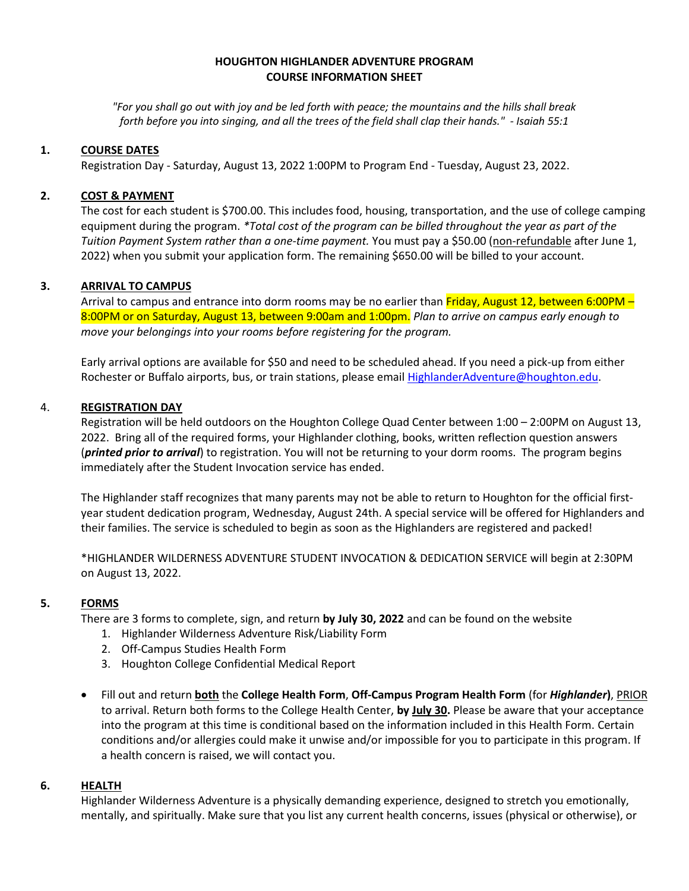### **HOUGHTON HIGHLANDER ADVENTURE PROGRAM COURSE INFORMATION SHEET**

*"For you shall go out with joy and be led forth with peace; the mountains and the hills shall break forth before you into singing, and all the trees of the field shall clap their hands." - Isaiah 55:1*

### **1. COURSE DATES**

Registration Day - Saturday, August 13, 2022 1:00PM to Program End - Tuesday, August 23, 2022.

### **2. COST & PAYMENT**

The cost for each student is \$700.00. This includes food, housing, transportation, and the use of college camping equipment during the program. *\*Total cost of the program can be billed throughout the year as part of the Tuition Payment System rather than a one-time payment.* You must pay a \$50.00 (non-refundable after June 1, 2022) when you submit your application form. The remaining \$650.00 will be billed to your account.

#### **3. ARRIVAL TO CAMPUS**

Arrival to campus and entrance into dorm rooms may be no earlier than Friday, August 12, between 6:00PM – 8:00PM or on Saturday, August 13, between 9:00am and 1:00pm. *Plan to arrive on campus early enough to move your belongings into your rooms before registering for the program.*

Early arrival options are available for \$50 and need to be scheduled ahead. If you need a pick-up from either Rochester or Buffalo airports, bus, or train stations, please email [HighlanderAdventure@houghton.edu.](mailto:HighlanderAdventure@houghton.edu)

### 4. **REGISTRATION DAY**

Registration will be held outdoors on the Houghton College Quad Center between 1:00 – 2:00PM on August 13, 2022. Bring all of the required forms, your Highlander clothing, books, written reflection question answers (*printed prior to arrival*) to registration. You will not be returning to your dorm rooms. The program begins immediately after the Student Invocation service has ended.

The Highlander staff recognizes that many parents may not be able to return to Houghton for the official firstyear student dedication program, Wednesday, August 24th. A special service will be offered for Highlanders and their families. The service is scheduled to begin as soon as the Highlanders are registered and packed!

\*HIGHLANDER WILDERNESS ADVENTURE STUDENT INVOCATION & DEDICATION SERVICE will begin at 2:30PM on August 13, 2022.

## **5. FORMS**

There are 3 forms to complete, sign, and return **by July 30, 2022** and can be found on the website

- 1. Highlander Wilderness Adventure Risk/Liability Form
- 2. Off-Campus Studies Health Form
- 3. Houghton College Confidential Medical Report
- Fill out and return **both** the **College Health Form**, **Off-Campus Program Health Form** (for *Highlander***)**, PRIOR to arrival. Return both forms to the College Health Center, **by July 30.** Please be aware that your acceptance into the program at this time is conditional based on the information included in this Health Form. Certain conditions and/or allergies could make it unwise and/or impossible for you to participate in this program. If a health concern is raised, we will contact you.

#### **6. HEALTH**

Highlander Wilderness Adventure is a physically demanding experience, designed to stretch you emotionally, mentally, and spiritually. Make sure that you list any current health concerns, issues (physical or otherwise), or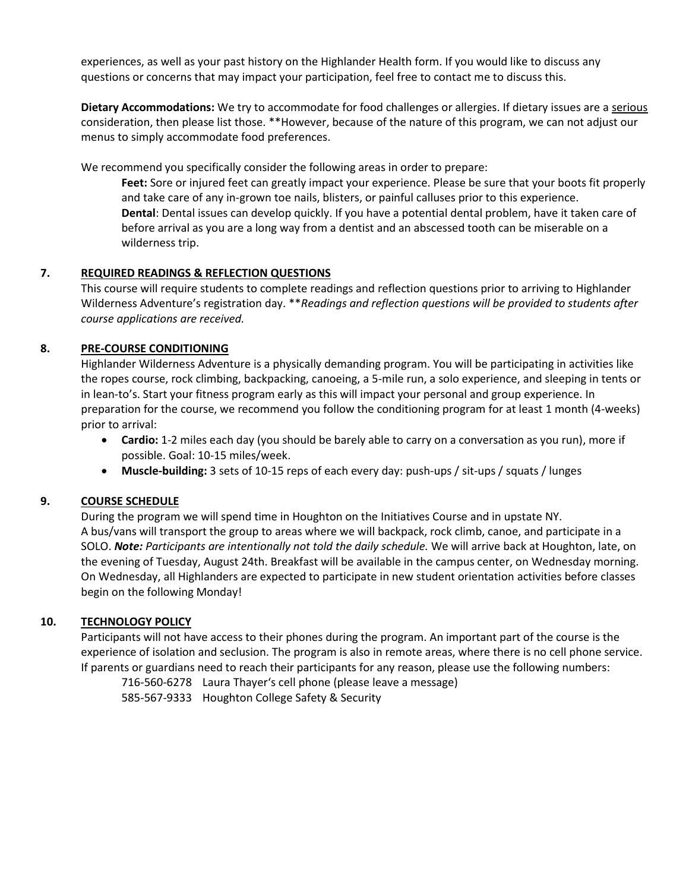experiences, as well as your past history on the Highlander Health form. If you would like to discuss any questions or concerns that may impact your participation, feel free to contact me to discuss this.

**Dietary Accommodations:** We try to accommodate for food challenges or allergies. If dietary issues are a serious consideration, then please list those. \*\*However, because of the nature of this program, we can not adjust our menus to simply accommodate food preferences.

We recommend you specifically consider the following areas in order to prepare:

**Feet:** Sore or injured feet can greatly impact your experience. Please be sure that your boots fit properly and take care of any in-grown toe nails, blisters, or painful calluses prior to this experience. **Dental**: Dental issues can develop quickly. If you have a potential dental problem, have it taken care of before arrival as you are a long way from a dentist and an abscessed tooth can be miserable on a wilderness trip.

# **7. REQUIRED READINGS & REFLECTION QUESTIONS**

This course will require students to complete readings and reflection questions prior to arriving to Highlander Wilderness Adventure's registration day. \*\**Readings and reflection questions will be provided to students after course applications are received.* 

# **8. PRE-COURSE CONDITIONING**

Highlander Wilderness Adventure is a physically demanding program. You will be participating in activities like the ropes course, rock climbing, backpacking, canoeing, a 5-mile run, a solo experience, and sleeping in tents or in lean-to's. Start your fitness program early as this will impact your personal and group experience. In preparation for the course, we recommend you follow the conditioning program for at least 1 month (4-weeks) prior to arrival:

- **Cardio:** 1-2 miles each day (you should be barely able to carry on a conversation as you run), more if possible. Goal: 10-15 miles/week.
- **Muscle-building:** 3 sets of 10-15 reps of each every day: push-ups / sit-ups / squats / lunges

# **9. COURSE SCHEDULE**

During the program we will spend time in Houghton on the Initiatives Course and in upstate NY. A bus/vans will transport the group to areas where we will backpack, rock climb, canoe, and participate in a SOLO. *Note: Participants are intentionally not told the daily schedule.* We will arrive back at Houghton, late, on the evening of Tuesday, August 24th. Breakfast will be available in the campus center, on Wednesday morning. On Wednesday, all Highlanders are expected to participate in new student orientation activities before classes begin on the following Monday!

# **10. TECHNOLOGY POLICY**

Participants will not have access to their phones during the program. An important part of the course is the experience of isolation and seclusion. The program is also in remote areas, where there is no cell phone service. If parents or guardians need to reach their participants for any reason, please use the following numbers:

716-560-6278 Laura Thayer's cell phone (please leave a message) 585-567-9333 Houghton College Safety & Security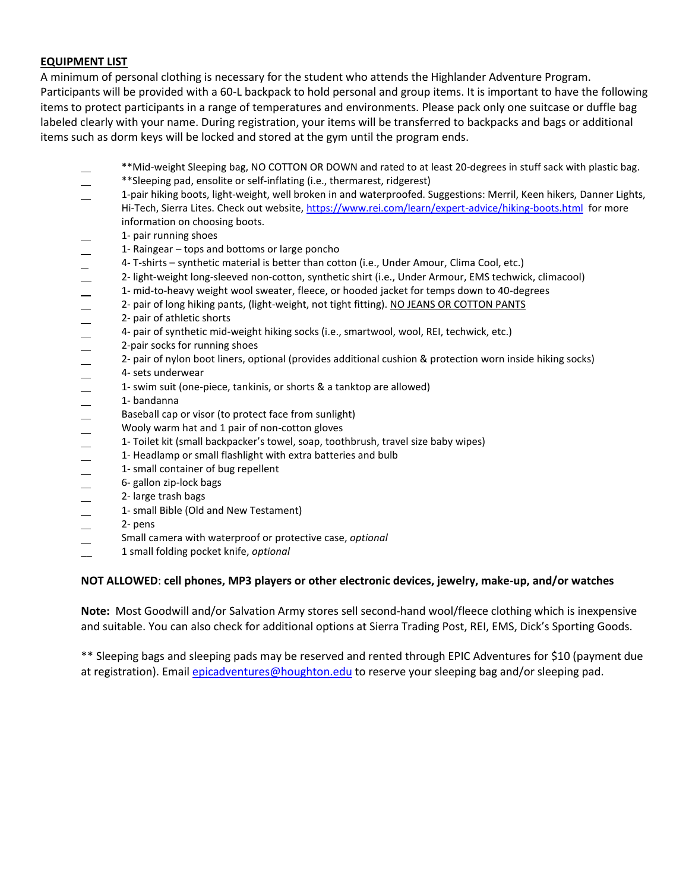## **EQUIPMENT LIST**

A minimum of personal clothing is necessary for the student who attends the Highlander Adventure Program. Participants will be provided with a 60-L backpack to hold personal and group items. It is important to have the following items to protect participants in a range of temperatures and environments. Please pack only one suitcase or duffle bag labeled clearly with your name. During registration, your items will be transferred to backpacks and bags or additional items such as dorm keys will be locked and stored at the gym until the program ends.

- \*\*Mid-weight Sleeping bag, NO COTTON OR DOWN and rated to at least 20-degrees in stuff sack with plastic bag.
- \*\*Sleeping pad, ensolite or self-inflating (i.e., thermarest, ridgerest)
- 1-pair hiking boots, light-weight, well broken in and waterproofed. Suggestions: Merril, Keen hikers, Danner Lights, Hi-Tech, Sierra Lites. Check out website[, https://www.rei.com/learn/expert-advice/hiking-boots.html](https://www.rei.com/learn/expert-advice/hiking-boots.html) for more information on choosing boots.
- 1- pair running shoes
- 1- Raingear tops and bottoms or large poncho
- 4- T-shirts synthetic material is better than cotton (i.e., Under Amour, Clima Cool, etc.)
- 2- light-weight long-sleeved non-cotton, synthetic shirt (i.e., Under Armour, EMS techwick, climacool)
- 1- mid-to-heavy weight wool sweater, fleece, or hooded jacket for temps down to 40-degrees
- 2- pair of long hiking pants, (light-weight, not tight fitting). NO JEANS OR COTTON PANTS
- 2- pair of athletic shorts
- 4- pair of synthetic mid-weight hiking socks (i.e., smartwool, wool, REI, techwick, etc.)<br>2-pair socks for running shoes<br>2. pair of pulse hast linear actional (provides additional sushing 8 protection were in
- 2-pair socks for running shoes
- 2- pair of nylon boot liners, optional (provides additional cushion & protection worn inside hiking socks)
- 
- $-$  4- sets underwear<br> $-$  1- swim suit (one-1- swim suit (one-piece, tankinis, or shorts & a tanktop are allowed)
- 1- bandanna
- Baseball cap or visor (to protect face from sunlight)
- 
- Wooly warm hat and 1 pair of non-cotton gloves<br>
1- Toilet kit (small backpacker's towel, soap, toot 1- Toilet kit (small backpacker's towel, soap, toothbrush, travel size baby wipes)
- 1- Headlamp or small flashlight with extra batteries and bulb
- 1- small container of bug repellent
- 6- gallon zip-lock bags
- 2- large trash bags
- 1- small Bible (Old and New Testament)
- 2- pens
- Small camera with waterproof or protective case, *optional*
- \_\_ 1 small folding pocket knife, *optional*

## **NOT ALLOWED**: **cell phones, MP3 players or other electronic devices, jewelry, make-up, and/or watches**

**Note:** Most Goodwill and/or Salvation Army stores sell second-hand wool/fleece clothing which is inexpensive and suitable. You can also check for additional options at Sierra Trading Post, REI, EMS, Dick's Sporting Goods.

\*\* Sleeping bags and sleeping pads may be reserved and rented through EPIC Adventures for \$10 (payment due at registration). Email *epicadventures@houghton.edu* to reserve your sleeping bag and/or sleeping pad.